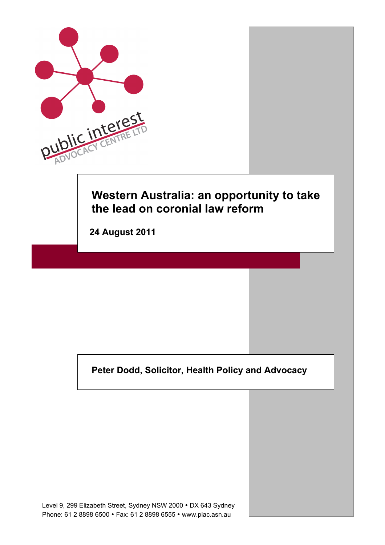

**Peter Dodd, Solicitor, Health Policy and Advocacy**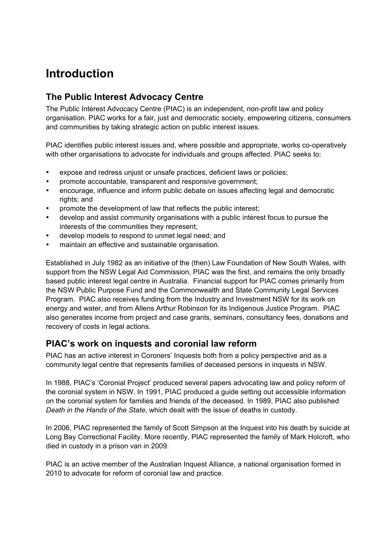# **Introduction**

# **The Public Interest Advocacy Centre**

The Public Interest Advocacy Centre (PIAC) is an independent, non-profit law and policy organisation. PIAC works for a fair, just and democratic society, empowering citizens, consumers and communities by taking strategic action on public interest issues.

PIAC identifies public interest issues and, where possible and appropriate, works co-operatively with other organisations to advocate for individuals and groups affected. PIAC seeks to:

- expose and redress unjust or unsafe practices, deficient laws or policies;
- promote accountable, transparent and responsive government;
- encourage, influence and inform public debate on issues affecting legal and democratic rights; and
- promote the development of law that reflects the public interest;
- develop and assist community organisations with a public interest focus to pursue the interests of the communities they represent;
- develop models to respond to unmet legal need; and
- maintain an effective and sustainable organisation.

Established in July 1982 as an initiative of the (then) Law Foundation of New South Wales, with support from the NSW Legal Aid Commission, PIAC was the first, and remains the only broadly based public interest legal centre in Australia. Financial support for PIAC comes primarily from the NSW Public Purpose Fund and the Commonwealth and State Community Legal Services Program. PIAC also receives funding from the Industry and Investment NSW for its work on energy and water, and from Allens Arthur Robinson for its Indigenous Justice Program. PIAC also generates income from project and case grants, seminars, consultancy fees, donations and recovery of costs in legal actions.

#### **PIAC's work on inquests and coronial law reform**

PIAC has an active interest in Coroners' Inquests both from a policy perspective and as a community legal centre that represents families of deceased persons in inquests in NSW.

In 1988, PIAC's 'Coronial Project' produced several papers advocating law and policy reform of the coronial system in NSW. In 1991, PIAC produced a guide setting out accessible information on the coronial system for families and friends of the deceased. In 1989, PIAC also published *Death in the Hands of the State*, which dealt with the issue of deaths in custody.

In 2006, PIAC represented the family of Scott Simpson at the Inquest into his death by suicide at Long Bay Correctional Facility. More recently, PIAC represented the family of Mark Holcroft, who died in custody in a prison van in 2009.

PIAC is an active member of the Australian Inquest Alliance, a national organisation formed in 2010 to advocate for reform of coronial law and practice.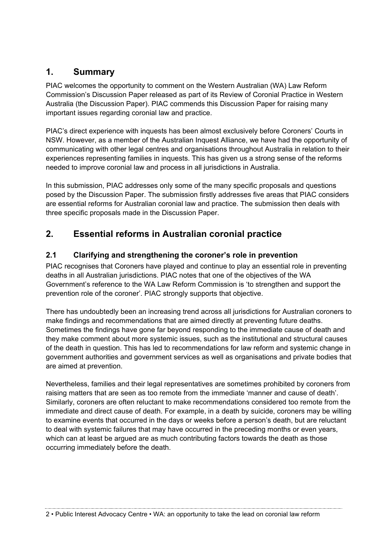# **1. Summary**

PIAC welcomes the opportunity to comment on the Western Australian (WA) Law Reform Commission's Discussion Paper released as part of its Review of Coronial Practice in Western Australia (the Discussion Paper). PIAC commends this Discussion Paper for raising many important issues regarding coronial law and practice.

PIAC's direct experience with inquests has been almost exclusively before Coroners' Courts in NSW. However, as a member of the Australian Inquest Alliance, we have had the opportunity of communicating with other legal centres and organisations throughout Australia in relation to their experiences representing families in inquests. This has given us a strong sense of the reforms needed to improve coronial law and process in all jurisdictions in Australia.

In this submission, PIAC addresses only some of the many specific proposals and questions posed by the Discussion Paper. The submission firstly addresses five areas that PIAC considers are essential reforms for Australian coronial law and practice. The submission then deals with three specific proposals made in the Discussion Paper.

# **2. Essential reforms in Australian coronial practice**

#### **2.1 Clarifying and strengthening the coroner's role in prevention**

PIAC recognises that Coroners have played and continue to play an essential role in preventing deaths in all Australian jurisdictions. PIAC notes that one of the objectives of the WA Government's reference to the WA Law Reform Commission is 'to strengthen and support the prevention role of the coroner'. PIAC strongly supports that objective.

There has undoubtedly been an increasing trend across all jurisdictions for Australian coroners to make findings and recommendations that are aimed directly at preventing future deaths. Sometimes the findings have gone far beyond responding to the immediate cause of death and they make comment about more systemic issues, such as the institutional and structural causes of the death in question. This has led to recommendations for law reform and systemic change in government authorities and government services as well as organisations and private bodies that are aimed at prevention.

Nevertheless, families and their legal representatives are sometimes prohibited by coroners from raising matters that are seen as too remote from the immediate 'manner and cause of death'. Similarly, coroners are often reluctant to make recommendations considered too remote from the immediate and direct cause of death. For example, in a death by suicide, coroners may be willing to examine events that occurred in the days or weeks before a person's death, but are reluctant to deal with systemic failures that may have occurred in the preceding months or even years, which can at least be argued are as much contributing factors towards the death as those occurring immediately before the death.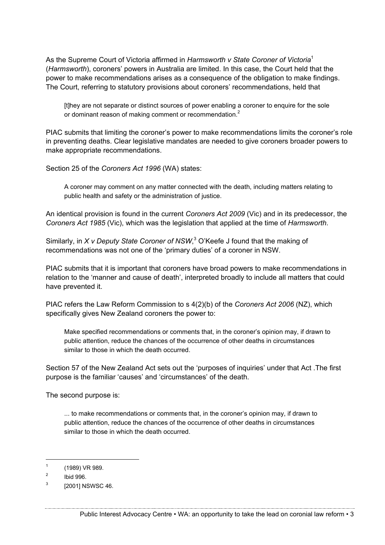As the Supreme Court of Victoria affirmed in *Harmsworth v State Coroner of Victoria*<sup>1</sup> (*Harmsworth*), coroners' powers in Australia are limited. In this case, the Court held that the power to make recommendations arises as a consequence of the obligation to make findings. The Court, referring to statutory provisions about coroners' recommendations, held that

[t]hey are not separate or distinct sources of power enabling a coroner to enquire for the sole or dominant reason of making comment or recommendation.<sup>2</sup>

PIAC submits that limiting the coroner's power to make recommendations limits the coroner's role in preventing deaths. Clear legislative mandates are needed to give coroners broader powers to make appropriate recommendations.

Section 25 of the *Coroners Act 1996* (WA) states:

A coroner may comment on any matter connected with the death, including matters relating to public health and safety or the administration of justice.

An identical provision is found in the current *Coroners Act 2009* (Vic) and in its predecessor, the *Coroners Act 1985* (Vic), which was the legislation that applied at the time of *Harmsworth*.

Similarly, in X v Deputy State Coroner of NSW,<sup>3</sup> O'Keefe J found that the making of recommendations was not one of the 'primary duties' of a coroner in NSW.

PIAC submits that it is important that coroners have broad powers to make recommendations in relation to the 'manner and cause of death', interpreted broadly to include all matters that could have prevented it.

PIAC refers the Law Reform Commission to s 4(2)(b) of the *Coroners Act 2006* (NZ), which specifically gives New Zealand coroners the power to:

Make specified recommendations or comments that, in the coroner's opinion may, if drawn to public attention, reduce the chances of the occurrence of other deaths in circumstances similar to those in which the death occurred.

Section 57 of the New Zealand Act sets out the 'purposes of inquiries' under that Act .The first purpose is the familiar 'causes' and 'circumstances' of the death.

The second purpose is:

... to make recommendations or comments that, in the coroner's opinion may, if drawn to public attention, reduce the chances of the occurrence of other deaths in circumstances similar to those in which the death occurred.

 $1$  (1989) VR 989.

<sup>2</sup> Ibid 996.

<sup>&</sup>lt;sup>3</sup> [2001] NSWSC 46.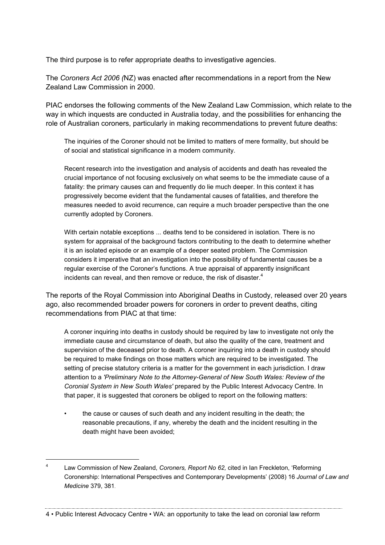The third purpose is to refer appropriate deaths to investigative agencies.

The *Coroners Act 2006 (*NZ) was enacted after recommendations in a report from the New Zealand Law Commission in 2000.

PIAC endorses the following comments of the New Zealand Law Commission, which relate to the way in which inquests are conducted in Australia today, and the possibilities for enhancing the role of Australian coroners, particularly in making recommendations to prevent future deaths:

The inquiries of the Coroner should not be limited to matters of mere formality, but should be of social and statistical significance in a modern community.

Recent research into the investigation and analysis of accidents and death has revealed the crucial importance of not focusing exclusively on what seems to be the immediate cause of a fatality: the primary causes can and frequently do lie much deeper. In this context it has progressively become evident that the fundamental causes of fatalities, and therefore the measures needed to avoid recurrence, can require a much broader perspective than the one currently adopted by Coroners.

With certain notable exceptions ... deaths tend to be considered in isolation. There is no system for appraisal of the background factors contributing to the death to determine whether it is an isolated episode or an example of a deeper seated problem. The Commission considers it imperative that an investigation into the possibility of fundamental causes be a regular exercise of the Coroner's functions. A true appraisal of apparently insignificant incidents can reveal, and then remove or reduce, the risk of disaster. $4$ 

The reports of the Royal Commission into Aboriginal Deaths in Custody, released over 20 years ago, also recommended broader powers for coroners in order to prevent deaths, citing recommendations from PIAC at that time:

A coroner inquiring into deaths in custody should be required by law to investigate not only the immediate cause and circumstance of death, but also the quality of the care, treatment and supervision of the deceased prior to death. A coroner inquiring into a death in custody should be required to make findings on those matters which are required to be investigated. The setting of precise statutory criteria is a matter for the government in each jurisdiction. I draw attention to a *'Preliminary Note to the Attorney-General of New South Wales: Review of the Coronial System in New South Wales'* prepared by the Public Interest Advocacy Centre. In that paper, it is suggested that coroners be obliged to report on the following matters:

the cause or causes of such death and any incident resulting in the death; the reasonable precautions, if any, whereby the death and the incident resulting in the death might have been avoided;

4 • Public Interest Advocacy Centre • WA: an opportunity to take the lead on coronial law reform

 <sup>4</sup> Law Commission of New Zealand, *Coroners, Report No 62,* cited in Ian Freckleton, 'Reforming Coronership: International Perspectives and Contemporary Developments' (2008) 16 *Journal of Law and Medicine* 379, 381.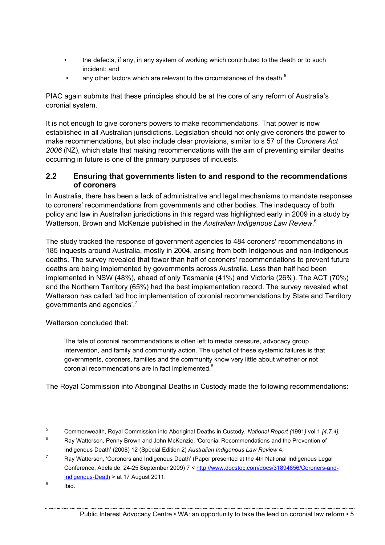- the defects, if any, in any system of working which contributed to the death or to such incident; and
- any other factors which are relevant to the circumstances of the death.<sup>5</sup>

PIAC again submits that these principles should be at the core of any reform of Australia's coronial system.

It is not enough to give coroners powers to make recommendations. That power is now established in all Australian jurisdictions. Legislation should not only give coroners the power to make recommendations, but also include clear provisions, similar to s 57 of the *Coroners Act 2006* (NZ), which state that making recommendations with the aim of preventing similar deaths occurring in future is one of the primary purposes of inquests.

#### **2.2 Ensuring that governments listen to and respond to the recommendations of coroners**

In Australia, there has been a lack of administrative and legal mechanisms to mandate responses to coroners' recommendations from governments and other bodies. The inadequacy of both policy and law in Australian jurisdictions in this regard was highlighted early in 2009 in a study by Watterson, Brown and McKenzie published in the *Australian Indigenous Law Review*. 6

The study tracked the response of government agencies to 484 coroners' recommendations in 185 inquests around Australia, mostly in 2004, arising from both Indigenous and non-Indigenous deaths. The survey revealed that fewer than half of coroners' recommendations to prevent future deaths are being implemented by governments across Australia. Less than half had been implemented in NSW (48%), ahead of only Tasmania (41%) and Victoria (26%). The ACT (70%) and the Northern Territory (65%) had the best implementation record. The survey revealed what Watterson has called 'ad hoc implementation of coronial recommendations by State and Territory governments and agencies'.<sup>7</sup>

Watterson concluded that:

The fate of coronial recommendations is often left to media pressure, advocacy group intervention, and family and community action. The upshot of these systemic failures is that governments, coroners, families and the community know very little about whether or not coronial recommendations are in fact implemented.<sup>8</sup>

The Royal Commission into Aboriginal Deaths in Custody made the following recommendations:

 <sup>5</sup> Commonwealth, Royal Commission into Aboriginal Deaths in Custody*, National Report (*1991*)* vol 1 *[4.7.4].*

<sup>&</sup>lt;sup>6</sup> Ray Watterson, Penny Brown and John McKenzie, 'Coronial Recommendations and the Prevention of Indigenous Death' (2008) 12 (Special Edition 2) *Australian Indigenous Law Review* 4.

 $7$  Ray Watterson, 'Coroners and Indigenous Death' (Paper presented at the 4th National Indigenous Legal Conference, Adelaide, 24-25 September 2009) 7 < http://www.docstoc.com/docs/31894856/Coroners-and-Indigenous-Death > at 17 August 2011.

 $8$  Ibid.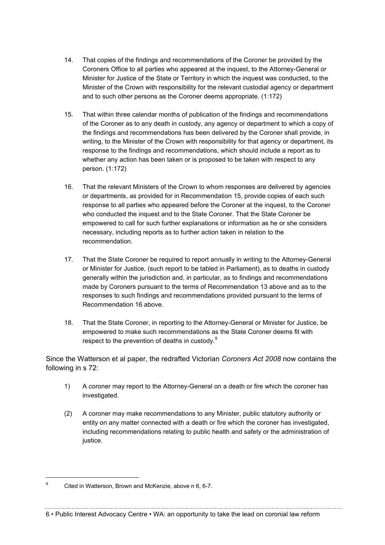- 14. That copies of the findings and recommendations of the Coroner be provided by the Coroners Office to all parties who appeared at the inquest, to the Attorney-General or Minister for Justice of the State or Territory in which the inquest was conducted, to the Minister of the Crown with responsibility for the relevant custodial agency or department and to such other persons as the Coroner deems appropriate. (1:172)
- 15. That within three calendar months of publication of the findings and recommendations of the Coroner as to any death in custody, any agency or department to which a copy of the findings and recommendations has been delivered by the Coroner shall provide, in writing, to the Minister of the Crown with responsibility for that agency or department, its response to the findings and recommendations, which should include a report as to whether any action has been taken or is proposed to be taken with respect to any person. (1:172)
- 16. That the relevant Ministers of the Crown to whom responses are delivered by agencies or departments, as provided for in Recommendation 15, provide copies of each such response to all parties who appeared before the Coroner at the inquest, to the Coroner who conducted the inquest and to the State Coroner. That the State Coroner be empowered to call for such further explanations or information as he or she considers necessary, including reports as to further action taken in relation to the recommendation.
- 17. That the State Coroner be required to report annually in writing to the Attorney-General or Minister for Justice, (such report to be tabled in Parliament), as to deaths in custody generally within the jurisdiction and, in particular, as to findings and recommendations made by Coroners pursuant to the terms of Recommendation 13 above and as to the responses to such findings and recommendations provided pursuant to the terms of Recommendation 16 above.
- 18. That the State Coroner, in reporting to the Attorney-General or Minister for Justice, be empowered to make such recommendations as the State Coroner deems fit with respect to the prevention of deaths in custody.<sup>9</sup>

Since the Watterson et al paper, the redrafted Victorian *Coroners Act 2008* now contains the following in s 72:

- 1) A coroner may report to the Attorney-General on a death or fire which the coroner has investigated.
- (2) A coroner may make recommendations to any Minister, public statutory authority or entity on any matter connected with a death or fire which the coroner has investigated, including recommendations relating to public health and safety or the administration of justice.

 <sup>9</sup> Cited in Watterson, Brown and McKenzie, above n 6, 6-7.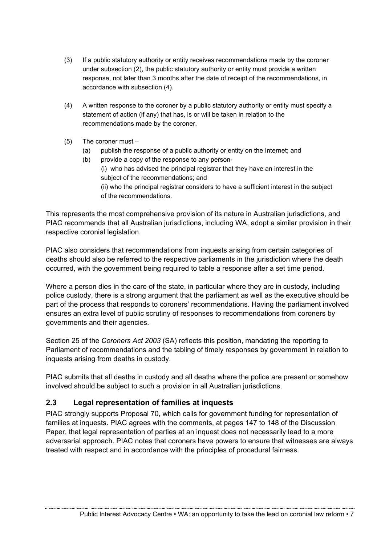- (3) If a public statutory authority or entity receives recommendations made by the coroner under subsection (2), the public statutory authority or entity must provide a written response, not later than 3 months after the date of receipt of the recommendations, in accordance with subsection (4).
- (4) A written response to the coroner by a public statutory authority or entity must specify a statement of action (if any) that has, is or will be taken in relation to the recommendations made by the coroner.
- (5) The coroner must
	- (a) publish the response of a public authority or entity on the Internet; and
	- (b) provide a copy of the response to any person- (i) who has advised the principal registrar that they have an interest in the subject of the recommendations; and (ii) who the principal registrar considers to have a sufficient interest in the subject of the recommendations.

This represents the most comprehensive provision of its nature in Australian jurisdictions, and PIAC recommends that all Australian jurisdictions, including WA, adopt a similar provision in their respective coronial legislation.

PIAC also considers that recommendations from inquests arising from certain categories of deaths should also be referred to the respective parliaments in the jurisdiction where the death occurred, with the government being required to table a response after a set time period.

Where a person dies in the care of the state, in particular where they are in custody, including police custody, there is a strong argument that the parliament as well as the executive should be part of the process that responds to coroners' recommendations. Having the parliament involved ensures an extra level of public scrutiny of responses to recommendations from coroners by governments and their agencies.

Section 25 of the *Coroners Act 2003* (SA) reflects this position, mandating the reporting to Parliament of recommendations and the tabling of timely responses by government in relation to inquests arising from deaths in custody.

PIAC submits that all deaths in custody and all deaths where the police are present or somehow involved should be subject to such a provision in all Australian jurisdictions.

#### **2.3 Legal representation of families at inquests**

PIAC strongly supports Proposal 70, which calls for government funding for representation of families at inquests. PIAC agrees with the comments, at pages 147 to 148 of the Discussion Paper, that legal representation of parties at an inquest does not necessarily lead to a more adversarial approach. PIAC notes that coroners have powers to ensure that witnesses are always treated with respect and in accordance with the principles of procedural fairness.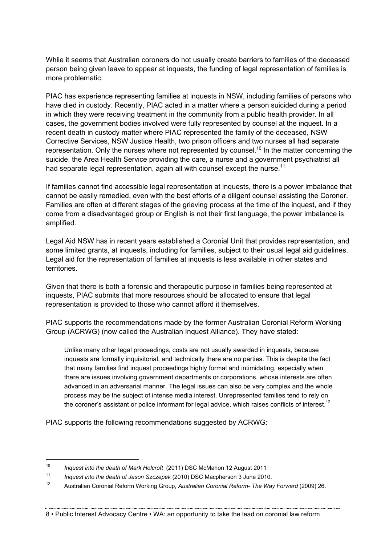While it seems that Australian coroners do not usually create barriers to families of the deceased person being given leave to appear at inquests, the funding of legal representation of families is more problematic.

PIAC has experience representing families at inquests in NSW, including families of persons who have died in custody. Recently, PIAC acted in a matter where a person suicided during a period in which they were receiving treatment in the community from a public health provider. In all cases, the government bodies involved were fully represented by counsel at the inquest. In a recent death in custody matter where PIAC represented the family of the deceased, NSW Corrective Services, NSW Justice Health, two prison officers and two nurses all had separate representation. Only the nurses where not represented by counsel.<sup>10</sup> In the matter concerning the suicide, the Area Health Service providing the care, a nurse and a government psychiatrist all had separate legal representation, again all with counsel except the nurse.<sup>11</sup>

If families cannot find accessible legal representation at inquests, there is a power imbalance that cannot be easily remedied, even with the best efforts of a diligent counsel assisting the Coroner. Families are often at different stages of the grieving process at the time of the inquest, and if they come from a disadvantaged group or English is not their first language, the power imbalance is amplified.

Legal Aid NSW has in recent years established a Coronial Unit that provides representation, and some limited grants, at inquests, including for families, subject to their usual legal aid guidelines. Legal aid for the representation of families at inquests is less available in other states and territories.

Given that there is both a forensic and therapeutic purpose in families being represented at inquests, PIAC submits that more resources should be allocated to ensure that legal representation is provided to those who cannot afford it themselves.

PIAC supports the recommendations made by the former Australian Coronial Reform Working Group (ACRWG) (now called the Australian Inquest Alliance). They have stated:

Unlike many other legal proceedings, costs are not usually awarded in inquests, because inquests are formally inquisitorial, and technically there are no parties. This is despite the fact that many families find inquest proceedings highly formal and intimidating, especially when there are issues involving government departments or corporations, whose interests are often advanced in an adversarial manner. The legal issues can also be very complex and the whole process may be the subject of intense media interest. Unrepresented families tend to rely on the coroner's assistant or police informant for legal advice, which raises conflicts of interest.<sup>12</sup>

PIAC supports the following recommendations suggested by ACRWG:

 <sup>10</sup> *Inquest into the death of Mark Holcroft* (2011) DSC McMahon 12 August 2011

<sup>11</sup> *Inquest into the death of Jason Szczepek* (2010) DSC Macpherson 3 June 2010.

<sup>12</sup> Australian Coronial Reform Working Group, *Australian Coronial Reform- The Way Forward* (2009) 26.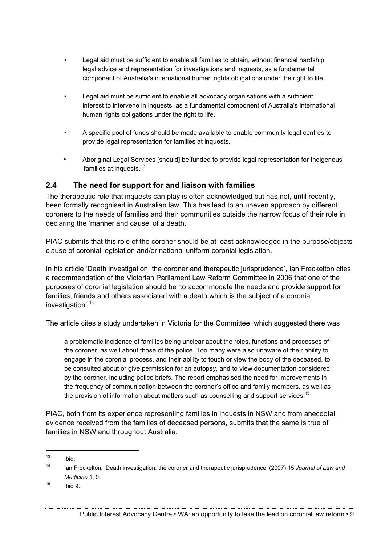- Legal aid must be sufficient to enable all families to obtain, without financial hardship, legal advice and representation for investigations and inquests, as a fundamental component of Australia's international human rights obligations under the right to life.
- Legal aid must be sufficient to enable all advocacy organisations with a sufficient interest to intervene in inquests, as a fundamental component of Australia's international human rights obligations under the right to life.
- A specific pool of funds should be made available to enable community legal centres to provide legal representation for families at inquests.
- Aboriginal Legal Services [should] be funded to provide legal representation for Indigenous families at inquests.<sup>13</sup>

#### **2.4 The need for support for and liaison with families**

The therapeutic role that inquests can play is often acknowledged but has not, until recently, been formally recognised in Australian law. This has lead to an uneven approach by different coroners to the needs of families and their communities outside the narrow focus of their role in declaring the 'manner and cause' of a death.

PIAC submits that this role of the coroner should be at least acknowledged in the purpose/objects clause of coronial legislation and/or national uniform coronial legislation.

In his article 'Death investigation: the coroner and therapeutic jurisprudence', Ian Freckelton cites a recommendation of the Victorian Parliament Law Reform Committee in 2006 that one of the purposes of coronial legislation should be 'to accommodate the needs and provide support for families, friends and others associated with a death which is the subject of a coronial investigation'.14

The article cites a study undertaken in Victoria for the Committee, which suggested there was

a problematic incidence of families being unclear about the roles, functions and processes of the coroner, as well about those of the police. Too many were also unaware of their ability to engage in the coronial process, and their ability to touch or view the body of the deceased, to be consulted about or give permission for an autopsy, and to view documentation considered by the coroner, including police briefs. The report emphasised the need for improvements in the frequency of communication between the coroner's office and family members, as well as the provision of information about matters such as counselling and support services.<sup>15</sup>

PIAC, both from its experience representing families in inquests in NSW and from anecdotal evidence received from the families of deceased persons, submits that the same is true of families in NSW and throughout Australia.

 $15$  Ibid 9.

 $13$  Ibid.

<sup>14</sup> Ian Freckelton, 'Death investigation, the coroner and therapeutic jurisprudence' (2007) 15 *Journal of Law and Medicine* 1, 9.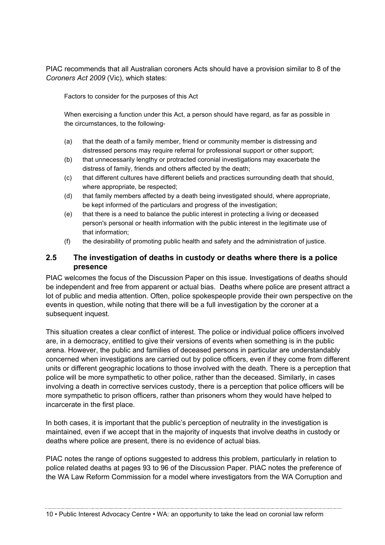PIAC recommends that all Australian coroners Acts should have a provision similar to 8 of the *Coroners Act 2009* (Vic), which states:

Factors to consider for the purposes of this Act

When exercising a function under this Act, a person should have regard, as far as possible in the circumstances, to the following-

- (a) that the death of a family member, friend or community member is distressing and distressed persons may require referral for professional support or other support;
- (b) that unnecessarily lengthy or protracted coronial investigations may exacerbate the distress of family, friends and others affected by the death;
- (c) that different cultures have different beliefs and practices surrounding death that should, where appropriate, be respected;
- (d) that family members affected by a death being investigated should, where appropriate, be kept informed of the particulars and progress of the investigation;
- (e) that there is a need to balance the public interest in protecting a living or deceased person's personal or health information with the public interest in the legitimate use of that information;
- (f) the desirability of promoting public health and safety and the administration of justice.

#### **2.5 The investigation of deaths in custody or deaths where there is a police presence**

PIAC welcomes the focus of the Discussion Paper on this issue. Investigations of deaths should be independent and free from apparent or actual bias. Deaths where police are present attract a lot of public and media attention. Often, police spokespeople provide their own perspective on the events in question, while noting that there will be a full investigation by the coroner at a subsequent inquest.

This situation creates a clear conflict of interest. The police or individual police officers involved are, in a democracy, entitled to give their versions of events when something is in the public arena. However, the public and families of deceased persons in particular are understandably concerned when investigations are carried out by police officers, even if they come from different units or different geographic locations to those involved with the death. There is a perception that police will be more sympathetic to other police, rather than the deceased. Similarly, in cases involving a death in corrective services custody, there is a perception that police officers will be more sympathetic to prison officers, rather than prisoners whom they would have helped to incarcerate in the first place.

In both cases, it is important that the public's perception of neutrality in the investigation is maintained, even if we accept that in the majority of inquests that involve deaths in custody or deaths where police are present, there is no evidence of actual bias.

PIAC notes the range of options suggested to address this problem, particularly in relation to police related deaths at pages 93 to 96 of the Discussion Paper. PIAC notes the preference of the WA Law Reform Commission for a model where investigators from the WA Corruption and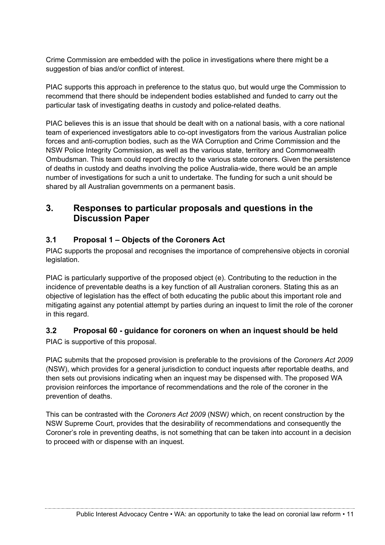Crime Commission are embedded with the police in investigations where there might be a suggestion of bias and/or conflict of interest.

PIAC supports this approach in preference to the status quo, but would urge the Commission to recommend that there should be independent bodies established and funded to carry out the particular task of investigating deaths in custody and police-related deaths.

PIAC believes this is an issue that should be dealt with on a national basis, with a core national team of experienced investigators able to co-opt investigators from the various Australian police forces and anti-corruption bodies, such as the WA Corruption and Crime Commission and the NSW Police Integrity Commission, as well as the various state, territory and Commonwealth Ombudsman. This team could report directly to the various state coroners. Given the persistence of deaths in custody and deaths involving the police Australia-wide, there would be an ample number of investigations for such a unit to undertake. The funding for such a unit should be shared by all Australian governments on a permanent basis.

# **3. Responses to particular proposals and questions in the Discussion Paper**

### **3.1 Proposal 1 – Objects of the Coroners Act**

PIAC supports the proposal and recognises the importance of comprehensive objects in coronial legislation.

PIAC is particularly supportive of the proposed object (e). Contributing to the reduction in the incidence of preventable deaths is a key function of all Australian coroners. Stating this as an objective of legislation has the effect of both educating the public about this important role and mitigating against any potential attempt by parties during an inquest to limit the role of the coroner in this regard.

## **3.2 Proposal 60 - guidance for coroners on when an inquest should be held**

PIAC is supportive of this proposal.

PIAC submits that the proposed provision is preferable to the provisions of the *Coroners Act 2009* (NSW), which provides for a general jurisdiction to conduct inquests after reportable deaths, and then sets out provisions indicating when an inquest may be dispensed with. The proposed WA provision reinforces the importance of recommendations and the role of the coroner in the prevention of deaths.

This can be contrasted with the *Coroners Act 2009* (NSW*)* which, on recent construction by the NSW Supreme Court, provides that the desirability of recommendations and consequently the Coroner's role in preventing deaths, is not something that can be taken into account in a decision to proceed with or dispense with an inquest.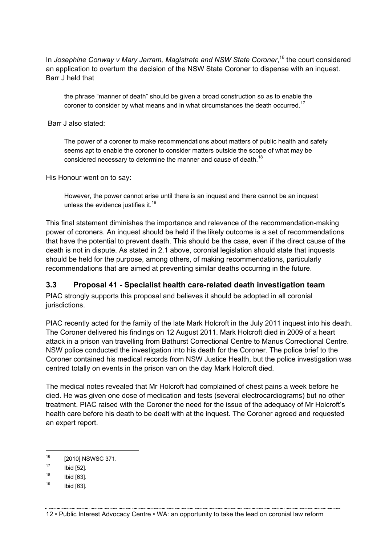In *Josephine Conway v Mary Jerram, Magistrate and NSW State Coroner*, <sup>16</sup> the court considered an application to overturn the decision of the NSW State Coroner to dispense with an inquest. Barr J held that

the phrase "manner of death" should be given a broad construction so as to enable the coroner to consider by what means and in what circumstances the death occurred.<sup>17</sup>

Barr J also stated:

The power of a coroner to make recommendations about matters of public health and safety seems apt to enable the coroner to consider matters outside the scope of what may be considered necessary to determine the manner and cause of death.<sup>18</sup>

His Honour went on to say:

However, the power cannot arise until there is an inquest and there cannot be an inquest unless the evidence justifies it.<sup>19</sup>

This final statement diminishes the importance and relevance of the recommendation-making power of coroners. An inquest should be held if the likely outcome is a set of recommendations that have the potential to prevent death. This should be the case, even if the direct cause of the death is not in dispute. As stated in 2.1 above, coronial legislation should state that inquests should be held for the purpose, among others, of making recommendations, particularly recommendations that are aimed at preventing similar deaths occurring in the future.

#### **3.3 Proposal 41 - Specialist health care-related death investigation team**

PIAC strongly supports this proposal and believes it should be adopted in all coronial jurisdictions.

PIAC recently acted for the family of the late Mark Holcroft in the July 2011 inquest into his death. The Coroner delivered his findings on 12 August 2011. Mark Holcroft died in 2009 of a heart attack in a prison van travelling from Bathurst Correctional Centre to Manus Correctional Centre. NSW police conducted the investigation into his death for the Coroner. The police brief to the Coroner contained his medical records from NSW Justice Health, but the police investigation was centred totally on events in the prison van on the day Mark Holcroft died.

The medical notes revealed that Mr Holcroft had complained of chest pains a week before he died. He was given one dose of medication and tests (several electrocardiograms) but no other treatment. PIAC raised with the Coroner the need for the issue of the adequacy of Mr Holcroft's health care before his death to be dealt with at the inquest. The Coroner agreed and requested an expert report.

<sup>&</sup>lt;sup>16</sup> [2010] NSWSC 371.

 $17$  Ibid [52].

 $18$  Ibid [63].

 $19$  Ibid [63].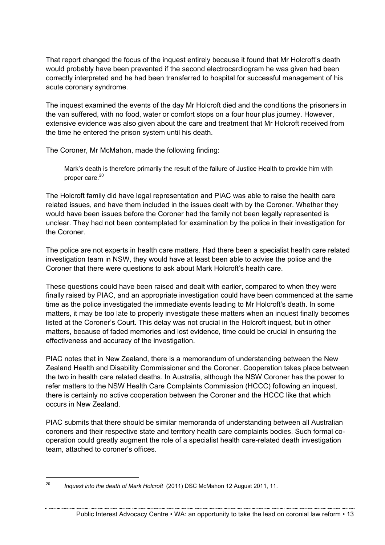That report changed the focus of the inquest entirely because it found that Mr Holcroft's death would probably have been prevented if the second electrocardiogram he was given had been correctly interpreted and he had been transferred to hospital for successful management of his acute coronary syndrome.

The inquest examined the events of the day Mr Holcroft died and the conditions the prisoners in the van suffered, with no food, water or comfort stops on a four hour plus journey. However, extensive evidence was also given about the care and treatment that Mr Holcroft received from the time he entered the prison system until his death.

The Coroner, Mr McMahon, made the following finding:

Mark's death is therefore primarily the result of the failure of Justice Health to provide him with proper care.<sup>20</sup>

The Holcroft family did have legal representation and PIAC was able to raise the health care related issues, and have them included in the issues dealt with by the Coroner. Whether they would have been issues before the Coroner had the family not been legally represented is unclear. They had not been contemplated for examination by the police in their investigation for the Coroner.

The police are not experts in health care matters. Had there been a specialist health care related investigation team in NSW, they would have at least been able to advise the police and the Coroner that there were questions to ask about Mark Holcroft's health care.

These questions could have been raised and dealt with earlier, compared to when they were finally raised by PIAC, and an appropriate investigation could have been commenced at the same time as the police investigated the immediate events leading to Mr Holcroft's death. In some matters, it may be too late to properly investigate these matters when an inquest finally becomes listed at the Coroner's Court. This delay was not crucial in the Holcroft inquest, but in other matters, because of faded memories and lost evidence, time could be crucial in ensuring the effectiveness and accuracy of the investigation.

PIAC notes that in New Zealand, there is a memorandum of understanding between the New Zealand Health and Disability Commissioner and the Coroner. Cooperation takes place between the two in health care related deaths. In Australia, although the NSW Coroner has the power to refer matters to the NSW Health Care Complaints Commission (HCCC) following an inquest, there is certainly no active cooperation between the Coroner and the HCCC like that which occurs in New Zealand.

PIAC submits that there should be similar memoranda of understanding between all Australian coroners and their respective state and territory health care complaints bodies. Such formal cooperation could greatly augment the role of a specialist health care-related death investigation team, attached to coroner's offices.

 <sup>20</sup> *Inquest into the death of Mark Holcroft* (2011) DSC McMahon 12 August 2011, 11.